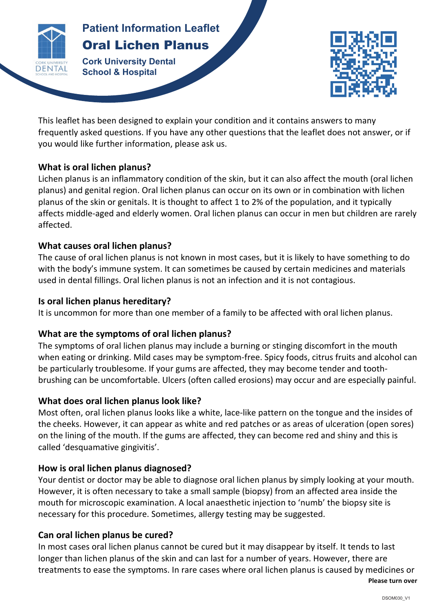

# **Patients Patient Information Leaflet** Oral Lichen Planus

*CONSTRUCTION* **Cork University Dental School & Hospital**



This leaflet has been designed to explain your condition and it contains answers to many frequently asked questions. If you have any other questions that the leaflet does not answer, or if you would like further information, please ask us.

### **What is oral lichen planus?**

Lichen planus is an inflammatory condition of the skin, but it can also affect the mouth (oral lichen planus) and genital region. Oral lichen planus can occur on its own or in combination with lichen planus of the skin or genitals. It is thought to affect 1 to 2% of the population, and it typically affects middle-aged and elderly women. Oral lichen planus can occur in men but children are rarely affected.

### **What causes oral lichen planus?**

The cause of oral lichen planus is not known in most cases, but it is likely to have something to do with the body's immune system. It can sometimes be caused by certain medicines and materials used in dental fillings. Oral lichen planus is not an infection and it is not contagious.

## **Is oral lichen planus hereditary?**

It is uncommon for more than one member of a family to be affected with oral lichen planus.

## What are the symptoms of oral lichen planus?

The symptoms of oral lichen planus may include a burning or stinging discomfort in the mouth when eating or drinking. Mild cases may be symptom-free. Spicy foods, citrus fruits and alcohol can be particularly troublesome. If your gums are affected, they may become tender and toothbrushing can be uncomfortable. Ulcers (often called erosions) may occur and are especially painful.

## **What does oral lichen planus look like?**

Most often, oral lichen planus looks like a white, lace-like pattern on the tongue and the insides of the cheeks. However, it can appear as white and red patches or as areas of ulceration (open sores) on the lining of the mouth. If the gums are affected, they can become red and shiny and this is called 'desquamative gingivitis'.

## How is oral lichen planus diagnosed?

Your dentist or doctor may be able to diagnose oral lichen planus by simply looking at your mouth. However, it is often necessary to take a small sample (biopsy) from an affected area inside the mouth for microscopic examination. A local anaesthetic injection to 'numb' the biopsy site is necessary for this procedure. Sometimes, allergy testing may be suggested.

#### **Can oral lichen planus be cured?**

In most cases oral lichen planus cannot be cured but it may disappear by itself. It tends to last longer than lichen planus of the skin and can last for a number of years. However, there are treatments to ease the symptoms. In rare cases where oral lichen planus is caused by medicines or

**Please turn over**